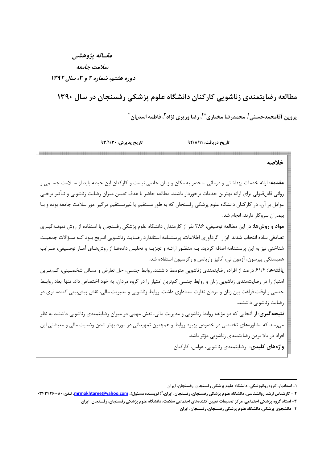## مقساله يژوهشي سلامت جامعه دوره هفتم، شماره ۲ و ۳، سال ۱۳۹۲

مطالعه رضایتمندی زناشویی کارکنان دانشگاه علوم پزشکی رفسنجان در سال ۱۳۹۰

يروين آقامحمدحسني'، محمدرضا مختاريٌّ '، رضا وزيري نژاد <sup>٬</sup> فاطمه اسديان ''

تاريخ پذيرش: ٩٣/١/٣٠

تا، یخ د، بافت: ۹۲/۸/۱۱

خلاصه **مقدمه:** ارائه خدمات بهداشتی و درمانی منحصر به مکان و زمان خاصی نیست و کارکنان این حیطه باید از سـلامت جسـمی و روانی قابلقبولی برای ارائه بهترین خدمات برخوردار باشند. مطالعه حاضر با هدف تعیین میزان رضایت زناشویی و تـأثیر برخـی عوامل بر آن، در کارکنان دانشگاه علوم پزشکی رفسنجان که به طور مستقیم یا غیرمستقیم درگیر امور سلامت جامعه بوده و بـا بیماران سروکار دارند، انجام شد. **مواد و روشها:** در این مطالعه توصیفی، ۳۸۶ نفر از کارمندان دانشگاه علوم پزشکی رفسنجان با استفاده از روش نمونـه *گ*یـری تصادفی ساده انتخاب شدند. ابزار گردآوری اطلاعات، پرسشنامه استاندارد رضـایت زناشـویی انـریچ بـود کـه سـؤالات جمعیـت شناختی نیز به این پرسشنامه اضافه گردید. بـه منظـور ارائـه و تجزیـه و تحلیـل دادههـا از روشهـای آمـار توصـیفی، ضـرایب همبستگی پیرسون، آزمون تی، آنالیز واریانس و رگرسیون استفاده شد. **یافتهها:** ۶۱/۴ درصد از افراد، رضایتمندی زناشویی متوسط داشتند. روابط جنسی، حل تعارض و مسائل شخصـیتی، کــمتـرین امتیاز را در رضایتمندی زناشویی زنان و روابط جنسی کمترین امتیاز را در گروه مردان، به خود اختصاص داد. تنها ابعاد روابط جنسی و اوقات فراغت بین زنان و مردان تفاوت معناداری داشت. روابط زناشویی و مدیریت مالی، نقش پیشبینی کننده قوی در رضایت زناشویی داشتند. **نتیجه گیری**: از آنجایی که دو مؤلفه روابط زناشویی و مدیریت مالی، نقش مهمی در میزان رضایتمندی زناشویی داشتند به نظر می سد که مشاورههای تخصصی در خصوص بهبود روابط و همچنین تمهیداتی در مورد بهتر شدن وضعیت مالی و معیشتی این افراد در بالا بردن رضایتمندی زناشویی مؤثر باشد. واژەھاي كليدى: , ضايتمندى ;ناشويى، عوامل، كاركنان

۱- استادیار، گروه روانیزشکی، دانشگاه علوم پزشکی رفسنجان، رفسنجان، ایران

۲ – کارشناس ارشد روانشناسی، دانشگاه علوم پزشکی رفسنجان، افسنجان، ایران، ٌ( نویسنده مسئول)، mrmokhtaree@yahoo.com، تلفن: ۰۲۴۴۴۴۶۰۰۸۰

۳– استاد گروه پزشکی اجتماعی، مرکز تحقیقات تعیین کنندههای اجتماعی سلامت، دانشگاه علوم پزشکی رفسنجان، رفسنجان، ایران

۴- دانشجوی پزشکی، دانشگاه علوم پزشکی رفسنجان، رفسنجان، ایران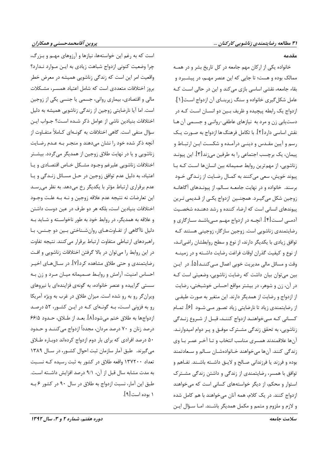است که به رغم این خواستهها، نیازها و آرزوهای مهـم و بـزرگ، چرا وضعیت کنونی ازدواج شباهت زیادی به ایـن مـوارد نـدارد؟ واقعیت امر این است که زندگی زناشویی همیشه در معرض خطر بروز اختلافات متعددى است كه شامل اعتياد همسـر، مشـكلات مالي و اقتصادي، بيماري رواني، جسمي يا جنسي يكي از زوجين است. اما آیا نارضایتی زوجین از زندگی زناشویی همیشه به دلیل اختلافات بنيادين ناشي از عوامل ذكر شـده اسـت؟ جـواب ايـن سؤال منفی است. گاهی اختلافات به گونـهای کـاملاً متفـاوت از آنچه ذکر شده خود را نشان میدهند و منجـر بـه عـدم رضـایت زناشویی و یا در نهایت طلاق زوجین از همدیگر می گردد. بیشــتر اختلافات زناشويي عليرغم وجـود مشـكل خـاص اقتصـادي ويـا اعتياد، به دليل عدم توافق زوجين در حـل مسـائل زنـدگي و يـا عدم برقراری ارتباط مؤثر با یکدیگر رخ میدهد. به نظر می رسد این تعارضات نه نتیجه عدم علاقه زوجین و نـه بـه علـت وجـود اختلافات بنیادین است، بلکه هر دو طرف در عین دوست داشتن و علاقه به همدیگر، در روابط خود به طور ناخواسـته و شـاید بـه دلیل ناآگاهی از تفـاوتهـای روانشـناختی بـین دو جـنس، بـا راهبردهای ارتباطی متفاوت ارتباط برقرار می کنند. نتیجه تفاوت در این روابط را میتوان در بالا گرفتن اختلافات زناشویی و افت رضایتمندی و حتی طلاق مشاهده کرد[۷]. در سـالهـای اخیـر احساس امنیت، آرامش و روابط صـمیمانه میـان مـرد و زن بـه سستی گراییده و عنصر خانواده، به گونهی فزایندهای با نیروهای ویرانگر رو به رو شده است. میزان طلاق در غرب به ویژه آمریکا رو به فزونی است، بـه گونـهای کـه در ایـن کشـور، ۵۲ درصـد ازدواجها به طلاق ختم میشود[۸]. بعـد از طـلاق، حـدود ۶۶/۵ درصد زنان و ۷۰ درصد مردان، مجدداً ازدواج می کننــد و حــدود ۵۰ درصد افرادی که برای بار دوم ازدواج کردهاند دوباره طـلاق می گیرند. طبق آمار سازمان ثبت احوال کشور، در سال ۱۳۸۹ تعداد ۱۳۷۲۰۰ واقعه طلاق در کشور به ثبت رسیده کـه نسـبت به مدت مشابه سال قبل از آن، ٩/١ درصد افزايش داشته است. طبق این آمار، نسبت ازدواج به طلاق در سال ۹۰ در کشور ۶ بـه ۱ بوده است[۹].

#### مقدمه

خانواده یکی از ارکان مهم جامعه در کل تاریخ بشر و در همـه ممالک بوده و هست؛ تا جایی که این عنصر مهـم، در پیشـبرد و بقاء جامعه، نقشی اساسی بازی میکند و این در حالی است کـه عامل شکل گیری خانواده و سنگ زیربنـای آن ازدواج اسـت[۱]. ازدواج یک رابطه پیچیده و ظریف بـین دو انسـان اسـت کـه در دستیابی زن و مرد به نیازهای عاطفی-روانبی و جسمی آن ها نقش اساسی دارد[۲]. با تکامل فرهنگ ها ازدواج به صـورت یـک رسم و آیین مقـدس و دینـی درآمـده و شکسـت ایـن ارتبـاط و پیمان، یک برچسب اجتماعی را به طرفین می;ند[۳]. این پیونـد زناشویی، از مهم ترین روابط صمیمانه بین انسان ها است کـه بـا پیوند خویش، سعی می کنند به کمال رضایت از زنـدگی خـود برسند. خانواده و در نهایت جامعـه سـالم، از پیونـدهای آگاهانـه زوجين شكل مي گيـرد. همچنــين ازدواج يكـي از قـديمي تـرين پیوندهای انسانی است که ارضاء کننده و رشد دهنـده شخصـیت آدمے است[۴]. آنچـه در ازدواج مهـم مـی،باشـد سـازگاری و رضایتمندی زناشویی است. زوجین سازگار، زوجینی هستند کـه توافق زیادی با یکدیگر دارند، از نوع و سطح روابطشان راضیاند، از نوع و کیفیت گذران اوقات فراغت رضایت داشــته و در زمینــه وقت و مسائل مالی مدیریت خوبی اعمال مـیکننـد[۵]. در ایـن بین میتوان بیان داشت که رضایت زناشویی، وضعیتی است کـه در آن، زن و شوهر، در بیشتر مواقع احساس خوشبختی، رضایت از ازدواج و رضایت از همدیگر دارند. این متغیر به صورت طیفی از رضایتمندی زیاد تا نارضایتی زیاد تصـور مـی شـود [۶]. تمـام کسـانی کـه مـیخواهنـد ازدواج کننـد، قبـل از شـروع زنـدگی زناشویی، به تحقق زندگی مشـترک موفـق و پـر دوام امیدوارنـد. آنها علاقمندند همسرى مناسب انتخاب و تـا آخـر عمـر بـا وى زندگی کنند. آنها میخواهند خـانوادهشـان سـالم و سـعادتمند بوده و فرزند یا فرزندانی صالح و لایـق داشـته باشـند. تفـاهم و توافق با همسر، رضایتمندی از زندگی و داشتن زندگی مشترک استوار و محکم، از دیگر خواستههای کسانی است که می خواهند ازدواج كنند. در یک کلام، همه آنان می خواهند با هم کامل شده و لازم و ملزوم و متمم و مکمل همدیگر باشـند. امـا سـؤال ایـن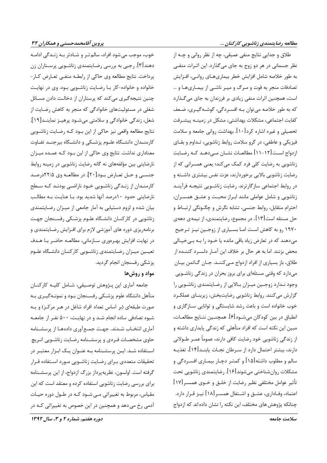طلاق و جدایی نتایج منفی عمیقی، چه از نظر روانی و چــه از

نظر جسمانی در هر دو زوج به جای می گذارد. این اثـرات منفـی

به طور خلاصه شامل افزايش خطر بيماريهـاي روانـي، افـزايش

تصادفات منجر به فوت و مـرگ و ميـر ناشـي از بيمـاريهـا و …

خوب، موجب می شود افراد، سالم تـر و شـادتر بـه زنـدگی ادامـه دهند[۳]. رجبی به بررسی رضایتمندی زناشـویی پرسـتاران زن پرداخت. نتایج مطالعه وی حاکی از رابطـه منفـی تعـارض کـار-خانواده و خانواده-کار بـا رضـایت زناشـویی بـود. وی در نهایـت چنین نتیجه گیری می کند که پرستاران از دخالت دادن مسائل شغلی در مسئولیتهای خانوادگی که منجر به کاهش رضایت از شغل، زندگی خانوادگی و سلامتی می شود پرهیـز نماینـد[۱۹]. نتايج مطالعه واقعي نيز حاكي از اين بـود كـه رضـايت زناشـويي کارمنــدان دانشــگاه علــوم پزشــکی و دانشــگاه بیرجنــد تفــاوت معناداری نداشت. نتایج وی حاکی از این بود کـه عمـده میـزان نارضایتی بین مؤلفههای نه گانه رضایت زناشویی در زمینه روابط جنسـی و حـل تعـارض بـود[۲۰]. در مطالعـه وی ۲۲/۵درصـد کارمنـدان از زنـدگی زناشـویی خـود ناراضـی بودنـد کـه سـطح نارضایتی حدود ۱۰درصد آنها شدید بود. بـا عنایـت بـه مطالـب بیان شده و لزوم دستیابی به آمار جامعی از میـزان رضـایتمندی زناشویی در کارکنـان دانشـگاه علـوم پزشـکی رفسـنجان جهـت برنامهریزی دوره های آموزشی لازم برای افـزایش رضـایتمندی و در نهایت افزایش بهـرهوری سـازمانی، مطالعـه حاضـر بـا هـدف تعیـین میـزان رضـایتمندی زناشـویی کارکنـان دانشـگاه علـوم یز شکی رفسنجان انجام گردید.

## مواد و روشها

جامعه آماري اين پـژوهش توصـيفي، شـامل كليـه كاركنـان متأهل دانشگاه علوم پزشكي رفسـنجان بـود و نمونـهگيـري بـه صورت طبقهای (بر اساس تعداد افراد شاغل در هـر مرکـز) و بـه شیوه تصادفی ساده انجام شـد و در نهایـت، ۵۰۰ نفـر از جامعـه آماری انتخـاب شـدند. جهـت جمـع آوری دادههـا از پرسشـنامه حاوی مشخصـات فـردی و پرسشـنامه رضـایت زناشـویی انـریچ اسـتفاده شـد. ايـن پرسشـنامه بـه عنـوان يـک ابـزار معتبـر در تحقيقات متعددي بـراي رضـايت زناشـويي مـورد اسـتفاده قـرار گرفته است. اولسون، نظریهپرداز بزرگ ازدواج، از این پرسشـنامه برای بررسی رضایت زناشویی استفاده کرده و معتقد است که این مقیاس، مربوط به تغییراتی مے شود کـه در طـول دوره حیـات آدمي رخ مي دهد و همچنين در اين خصوص به تغييراتي كـه در است، همچنین اثرات منفی زیادی بر فرزندان به جای می گـذارد که به طور خلاصه می توان بـه افسـردگی، گوشـه گیـری، ضـعف كفايت اجتماعي، مشكلات بهداشتي، مشكل در زمينــه پيشــرفت تحصیلی و غیره اشاره کرد[۱۰]. بهداشت روانی جامعه و سلامت فیزیکی و عاطفی، در گرو سلامت روابط زناشویی، تـداوم و بقـای ازدواج اسـت[۱۲-۱۱] مطالعــات نشــان مــىدهــد كــه رضــايت زناشویی به رضایت کلی فرد کمک می کند؛ یعنی همسرانی که از رضایت زناشویی بالایی برخوردارند، عزت نفس بیشتری داشته و در روابط اجتماعی سازگارترند. رضایت زناشـویی نتیجـه فرآینـد زناشویی و شامل عواملی مانند ابـراز محبـت و عشـق همسـران، احترام متقابل، روابط جنسي، تشابه نگرش و چگـونگي ارتبــاط و حل مسئله است[۱۳]. در مجموع، رضایتمندی، از نیمهی دههی ۱۹۷۰ رو به کاهش است امـا بسـياري از زوجـين نيـز تـرجيح میدهند که در تعارض زیاد باقی مانده یا خـود را بـه بـیخیـالی محض بزنند. اما به هر حال بر خلاف این آمـار دلسـرد کننـده از طلاق، باز بسیاری از افراد ازدواج مے کننـد. جـان گـاتمن بیـان میدارد که وقتی مسئلهای برای بروز بحران در زندگی زناشویی وجود ندارد زوجين ميزان بالايي از رضايتمندي زناشويي را گزارش میکنند. روابط زناشویی رضایتبخش، زیربنـای عملکـرد خوب خانواده است و باعث رشد شایستگی و توانایی سـازگاری و انطباق در بين كودكان ميشــود[۶]. همچنــين نتــايج مطالعــات، مبین این نکته است که افراد متأهلی که زندگی پایداری داشته و از زندگی زناشویی خود رضایت کافی دارند، عموماً عمـر طـولانی دارند، بیشتر احتمال دارد از سـرطان نجـات یابنــد[۱۴]، تغذیــه سالم و مطلوب داشته[۱۵] و کمتـر دچـار بیمـاری افسـردگی و مشکلات روانشناختی میشوند[۱۶]. رضایتمندی زناشویی تحت تأثير عوامل مختلفي نظير رضايت از خلـق و خـوى همسـر[١٧] اعتماد، وفـاداري، عشــق و اشــتغال همســر [۱۸] نيــز قــرار دارد.

چنانکه پژوهش های مختلف، این نکته را نشان داده اند که ازدواج

دوره هفتم، شماره ۲ و ۳، سال ۱۳۹۲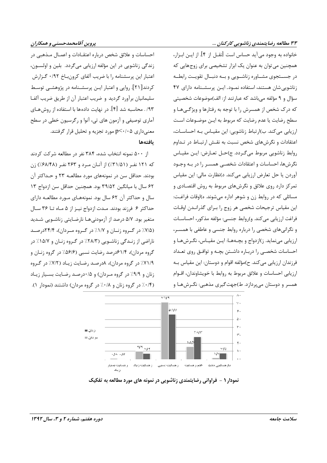۳۳ مطالعه رضایتمندی زناشویی کارکنان ...

پروین آقامحمدحسنی و همکاران

احساسات و علائق شخص درباره اعتقــادات و اعمــال مــذهبي در زندگی زناشویی در این مؤلفه ارزیابی میگردد. بلین و اولسون، اعتبار این پرسشنامه را با ضریب آلفای کرونباخ ۰/۹۲ گـزارش کردند[۲۱]. روایی و اعتبار ایـن پرسشـنامه در پژوهشـی توسـط سلیمانیان برآورد گردید و ضریب اعتبار آن از طریق ضریب آلفـا ۹۳/ . محاسبه شد [۴]. در نهایت دادهها با استفاده از روش هـای آماري توصيفي و آزمون هاي تي، آنوا و رگرسيون خطي در سطح معنه داري p<٠/٠۵ مورد تجزيه و تحليل قرار گرفتند. بافتهها

از ۵۰۰ نمونه انتخاب شده، ۳۸۴ نفر در مطالعه شرکت کردند که ۱۲۱ نفر (۳۱/۵۱٪) از آنـان مـرد و ۲۶۳ نفـر (۶۸/۴۸٪) زن بودند. حداقل سن در نمونههای مورد مطالعـه ۲۳ و حـداکثر آن ۶۲ سال با میانگین ۳۹/۵۲ بود. همچنین حداقل سن ازدواج ۱۳ سال و حداکثر آن ۶۲ سال بود. نمونههـای مـورد مطالعـه دارای حداكثر ۶ فرزند بودند. مـدت ازدواج نيـز از ۵ مـاه تـا ۳۶ سـال متغیر بود. ۵/۷ درصد از آزمودنی هـا نارضـایتی زناشـویی شـدید (۷/۵٪ در گـروه زنــان و ۱/۷٪ در گـروه مـردان)، ۲۴/۴درصـد ناراضی از زنـدگی زناشـویی (۲۸/۳/ در گـروه زنـان و ۱۵/۷/ در گروه مردان)، ۶۱/۴درصد رضایت نسبی (۵۶/۶٪ در گروه زنبان و ۷۱/۹٪ در گروه مردان)، ۸درصد رضایت زیاد (۷/۲٪ در گروه زنان و ۹/۹٪ در گروه مردان) و ۰/۵٪ درصد رضایت بسیار زیاد (۰/۴٪ در گروه زنان و ۰/۸٪ در گروه مردان) داشتند (نمودار ۱). خانواده به وجود می آید حساس است [نقــل از ۴]. از ایــن ابــزار، همچنین می توان به عنوان یک ابزار تشخیصی برای زوجهایی که در جســتجوى مشــاوره زناشــويى و بــه دنبــال تقويــت رابطــه زناشویی شان هستند، استفاده نمـود. ایـن پرسشـنامه دارای ۴۷ سؤال و ۹ مؤلفه می باشد که عبارتند از: الف)موضوعات شخصیتی که درک شخص از همسرش را با توجه به رفتارها و ویژگــی هــا و سطح , ضایت یا عدم , ضایت که مربوط به ایـن موضـوعات اسـت ارزیابی میکند. ب)ارتباط زناشویی: این مقیـاس بـه احساسـات، اعتقادات و نگرشهای شخص نسبت به نقش ارتباط در تـداوم روابط زناشويي مربوط مي گردد. ج)حل تعـارض: ايـن مقيـاس نگرشها، احساسات و اعتقادات شخصـی همسـر را در بـه وجـود آوردن یا حل تعارض ارزیابی میکند. د)نظارت مالی: این مقیاس تمرکز دارد روی علائق و نگرشهای مربوط به روش اقتصـادی و مسائلی که در روابط زن و شوهر اداره میشوند. ه)اوقات فراغت: این مقیاس ترجیحات شخصی هر زوج را بـرای گذرانـدن اوقـات فراغت ارزيابي مي كند. و)روابط جنسي: مؤلفه مذكور، احساسـات و نگرانیهای شخصی را درباره روابط جنسی و عاطفی با همسـر، ارزیابی مینماید. ز)ازدواج و بچهها: ایـن مقیـاس، نگـرشهـا و احساسات شخصی را درباره داشتن بچه و توافق روی تعداد فرزندان ارزيابي مي كند. ح)مؤلفه اقوام و دوستان: اين مقياس بـه ارزيابي احساسات و علائق مربوط به روابط با خويشاوندان، اقــوام همسر و دوستان میپردازد. ط)جهت گیری مذهبی: نگـرشهـا و



نمودار ۱ - فراوانی رضایتمندی زناشویی در نمونه های مورد مطالعه به تفکیک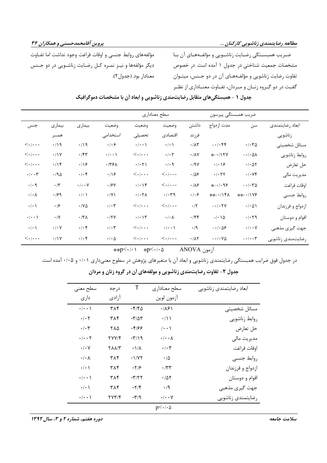ضـریب همبســتگی رضـایت زناشــویی و مؤلفــههــای آن بــا مشخصات جمعیت شناختی در جدول ۱ آمده است. در خصوص تفاوت رضایت زناشویی و مؤلفـههـای آن در دو جـنس، میتـوان گفت در دو گـروه زنـان و مـردان، تفـاوت معنـاداري از نظـر

مؤلفههای روابط جنسی و اوقات فراغت وجود نداشت اما تفــاوت دیگر مؤلفهها و نیـز نمـره کـل رضـایت زناشـویی در دو جـنس معنادار بود (جدول۲).

| جدول ۱ - همبستگیهای متقابل رضایتمندی زناشویی و ابعاد آن با مشخصات دموگرافیک |  |
|-----------------------------------------------------------------------------|--|
|-----------------------------------------------------------------------------|--|

|                                                                                     |                          |                      | سطح معناداري                                                      |                                                                          |                                                            |                              | ضريب همبستگي پيرسون                     |                                     |                   |
|-------------------------------------------------------------------------------------|--------------------------|----------------------|-------------------------------------------------------------------|--------------------------------------------------------------------------|------------------------------------------------------------|------------------------------|-----------------------------------------|-------------------------------------|-------------------|
| جنس                                                                                 | بيمارى                   | بيمارى               | وضعيت                                                             | وضعيت                                                                    | وضعيت                                                      | داشتن                        | مدت ازدواج                              | سن                                  | ابعاد رضايتمندى   |
|                                                                                     | همسر                     |                      | استخدامی                                                          | تحصيلى                                                                   | اقتصادى                                                    | فرزند                        |                                         |                                     | زناشويى           |
| $\langle \cdot   \cdots$                                                            | .419                     | $\cdot/\gamma$       | $\cdot$ / $\cdot$ $\varphi$                                       | $\cdot/\cdot\cdot$                                                       | $\cdot/\cdot$ \                                            | $\cdot/\Lambda\mathsf{r}$    | $- \cdot / \cdot \mathfrak{FP}$         | $\cdot/\cdot\,\mathbf{Y}\Delta$     | مسائل شخصيتى      |
| $\langle . . \, .$                                                                  | $\cdot/1$                | $\cdot$ /۴۳          | $\cdot/\cdot\cdot$                                                | $\langle . . \, .$                                                       | $\cdot/\cdot$ $\mathsf{Y}$                                 | $\cdot/\lambda\mathrm{V}$    | *-./1 TV                                | $- \cdot / \cdot \Delta \Lambda$    | روابط زناشويي     |
| $<\!\!\boldsymbol{\cdot}\!$ / $\!\!\boldsymbol{\cdot}\!$ . $\!\!\boldsymbol{\cdot}$ | .19                      | $\cdot$ /16          | .779                                                              | $\cdot/\cdot$ $\uparrow \uparrow$                                        | $\cdot$ / $\cdot$ 9                                        | $\cdot$ /9 $\gamma$          | $\cdot/\cdot\backslash$ ۶               | $\cdot$ / $\cdot$ $\Delta \Upsilon$ | حل تعارض          |
| $\cdot/\cdot\cdot\tau$                                                              | $.40 \times$             | $\cdot/\cdot$ ۴      | $\cdot/\Omega$                                                    | $<\!\!\boldsymbol{\cdot}\!$ $\!+\!\!\boldsymbol{\cdot}\!$                | $<\!\!\boldsymbol{\cdot}\!$ / $\!\!\boldsymbol{\cdot}\!$ . | $\cdot$ /58                  | $\cdot$ / $\cdot$ $\uparrow$ $\uparrow$ | $\cdot/\cdot$ YF                    | مديريت مالي       |
| $\cdot$ / $\cdot$ 9                                                                 | $\boldsymbol{\cdot}$ /٣  | $\cdot/\cdot\cdot$ Y | $\cdot$ / $\mathcal{F}$ $\vee$                                    | $\cdot/\cdot$ \ $\Upsilon$                                               | $\langle \cdot   \cdot \cdot \cdot$                        | $\cdot/\lambda$ ۶            | *-./.98                                 | $- \cdot / \cdot \tau \Delta$       | اوقات فراغت       |
| $\cdot/\cdot \wedge$                                                                | .199                     | $\cdot$ / $\cdot$ /  | $\cdot$ /Y \                                                      | $\cdot/\cdot\,\mathrm{Y}\lambda$                                         | $\cdot/\cdot \gamma$                                       | $\cdot$ / $\cdot$ $\epsilon$ | **-./14\                                | ※※-・/1Y۶                            | روابط جنسى        |
| $\cdot$ / $\cdot$ /                                                                 | $\cdot$ /۶               | $\cdot$ / Y $\Delta$ | $\boldsymbol{\cdot}\,/\boldsymbol{\cdot}\, \boldsymbol{\upgamma}$ | $<\!\!\boldsymbol{\cdot}\!$ / $\!\!\boldsymbol{\cdot}\!$ . $\!\!\cdot\!$ | $\left. <\ldots\right.$                                    | $\cdot/7$                    | $- \cdot / \cdot \tau V$                | $\cdot/\cdot \Delta$                | ازدواج و فرزندان  |
| $\cdot/\cdot\cdot$                                                                  | $\cdot/\Upsilon$         | $\cdot$ /٣ $\Lambda$ | $\cdot$ /٢٧                                                       | $\cdot/\cdot\setminus\mathbf{y}$                                         | $\cdot/\cdot \wedge$                                       | $\cdot$ /۴۴                  | $-/-$ \ $\Delta$                        | $\cdot/\cdot$ $\zeta$               | اقوام و دوستان    |
| $\cdot$ / $\cdot$ /                                                                 | $\cdot$ / $\cdot$ $\vee$ | $\cdot/\cdot$ ۴      | $\cdot/\cdot7$                                                    | $\langle . . \, .$                                                       | $\cdot/\cdot\cdot$                                         | $\cdot$ /9                   | $-1.09$                                 | $\cdot/\cdot\cdot$ Y                | جهت گیری مذهبی    |
| $\langle . . \, .$                                                                  | .11Y                     | $\cdot/\cdot$ ۴      | $\cdot$ / $\cdot$ $\Delta$                                        | $\langle . . \, .$                                                       | $\langle .\!\rangle \ldots$                                | $\cdot/\lambda\tau$          | $- \cdot / \cdot \vee \Delta$           | $-\cdot/\cdot \cdot \tau$           | رضايتمندى زناشويى |

آزمون ANOVA asp<٠/٠١ ∗p<٠/٠۵

در جدول فوق ضرایب همبستگی رضایتمندی زناشویی و ابعاد آن با متغیرهای پژوهش در سطوح معنیداری ۰/۰۱ و ۰/۰۵ آمده است. جدول ۲- تفاوت رضایتمندی زناشویی و مولفههای آن در گروه زنان و مردان

| سطح معنى                        | درجه         | Τ                        | سطح معناداري                                                      | ابعاد رضايتمندى زناشويي |
|---------------------------------|--------------|--------------------------|-------------------------------------------------------------------|-------------------------|
| دار ی                           | آزادى        |                          | آزمون لوين                                                        |                         |
| $\cdot/\cdot\cdot$              | ٣٨۴          | -۴/۴۵                    | $\cdot$ /16)                                                      | مسائل شخصيتى            |
| $\cdot$ / $\cdot$ $\cdot$       | ٣٨۴          | $-\tau/\Delta\tau$       | $\cdot/\rightarrow$                                               | روابط زناشويي           |
| $\cdot/\cdot$ ٣                 | ۲۸۵          | -۴۱۶۶                    | $\cdots$                                                          | حل تعارض                |
| $\cdot/\cdot\cdot$ $\mathsf{Y}$ | 27714        | $-\Gamma/19$             | $\cdot/\cdot\cdot\lambda$                                         | مديريت مالي             |
| $\cdot/\cdot$ Y                 | <b>TAA/T</b> | $-\frac{1}{\Lambda}$     | $\boldsymbol{\cdot}\, \boldsymbol{\cdot}\, \boldsymbol{\uparrow}$ | اوقات فراغت             |
| $\cdot/\cdot \wedge$            | ٣٨۴          | $-1/VT$                  | $\cdot/\Delta$                                                    | روابط جنسى              |
| $\cdot/\cdot$                   | ٣٨۴          | $-7/9$                   | $\cdot$ /۳۳                                                       | ازدواج و فرزندان        |
| $\cdot/\cdot\cdot$              | ۳۸۴          | $-\mathbf{r}/\mathbf{r}$ | $\cdot$ /57                                                       | اقوام و دوستان          |
| $\cdot/\cdot$                   | ٣٨۴          | $-\nabla/\mathfrak{F}$   | $\cdot$ /9                                                        | جهت گیری مذهبی          |
| $\cdot/\cdot\cdot$              | ۲۷۳/۴        | $-\tau$ /9               | $\cdot/\cdot\cdot$ Y                                              | رضايتمندى زناشويي       |
|                                 |              |                          | $p<\cdot/\cdot \Delta$                                            |                         |

دوره هفتم، شماره ۲ و ۳، سال ۱۳۹۲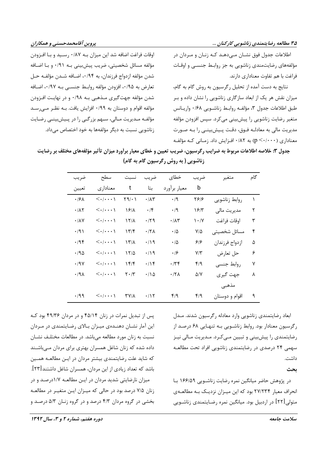۳۵ مطالعه رضایتمندی زناشویی کارکنان ...

اطلاعات جدول فوق نشـان مـی۵هـد کـه زنـان و مـردان در مؤلفههای رضایتمندی زناشویی به جز روابط جنسبی و اوقـات فراغت با هم تفاوت معناداری دارند.

نتايج به دست آمده از تحليل رگرسيون به روش گام به گام، میزان نقش هر یک از ابعاد سازگاری زناشویی را نشان داده و بـر طبق اطلاعات جدول ٣، مؤلف روابط زناشـويي ٠/٤٨ واريـانس متغیر رضایت زناشویی را پیش بینی می کرد. سپس افزودن مؤلفه مديريت مالي به معادلـه فـوق، دقـت پـيشبينـي را بـه صـورت معناداری (۲۰۰۰۰) به ۰/۸۲ افـزایش داد. زمـانی کـه مؤلفـه

اوقات فراغت اضافه شد این میزان بـه ۰/۸۷ رسـید و بـا افـزودن مؤلفه مسائل شخصيتي، ضريب پيشبيني بـه ٩١/٠ و بـا اضـافه شدن مؤلفه ازدواج فرزندان، به ۰/۹۴، اضـافه شـدن مؤلفـه حـل تعارض به ۰/۹۵ فزودن مؤلفه روابط جنسـي بـه ۰/۹۷، اضـافه شدن مؤلفه جهت گیری مـذهبی بـه ۰/۹۸ و در نهایـت افـزودن مؤلفه اقوام و دوستان به ۰/۹۹ افزایش یافت. بـه نظـر مـی,رسـد مؤلفـه مـدیریت مـالی، سـهم بزرگـی را در پـیشبینـی رضـایت زناشويي نسبت به ديگر مؤلفهها به خود اختصاص ميداد.

جدول ۳: خلاصه اطلاعات مربوط به ضرایب رگرسیون، ضریب تعیین و خطای معیار برآورد میزان تأثیر مؤلفههای مختلف بر رضایت زناشویی ( به روش رگرسیون گام به گام)

| ضريب                      | سطح                                 | نسبت                          | ضريب              | خطاى                         | ضريب                          | متغير          | گام       |
|---------------------------|-------------------------------------|-------------------------------|-------------------|------------------------------|-------------------------------|----------------|-----------|
| تعيين                     | معناداري                            | t                             | بتا               | معيار برآورد                 | b                             |                |           |
| $\cdot$ /۶۸               | $\left\langle \ldots \right\rangle$ | $\upgamma$ ۹/۰۱               | $\cdot/\Lambda$ ۳ | $\cdot$ /9                   | ۲۶۱۶                          | روابط زناشويي  | $\lambda$ |
| $\cdot$ / $\wedge$ $\vee$ | $\left\langle \ldots \right\rangle$ | ۱۶/۸                          | ۰/۴               | ۰/۹                          | ۱۶۳                           | مديريت مالي    | ٢         |
| $\cdot$ / $\wedge$ $\vee$ | $\left\langle \ldots \right\rangle$ | 1218                          | $\cdot$ /۲۹       | $\cdot$ / $\wedge\breve{\ }$ | $\mathcal{N}\cdot\mathcal{N}$ | اوقات فراغت    | ٣         |
| $\cdot$ /9)               | $\left\langle \ldots \right\rangle$ | 177                           | $\cdot$ /۲۸       | $\cdot/\Delta$               | $V/\Delta$                    | مسائل شخصيتى   | ۴         |
| $\cdot$ /94               | $\left\langle \ldots \right\rangle$ | ۱۳/۸                          | ۰/۱۹              | $\cdot/\Delta$               | ۶۱۶                           | ازدواج فرزندان | ۵         |
| $\cdot$ 195               | $\left\langle \ldots \right\rangle$ | ۱۲۵                           | ۰/۱۹              | ۰۱۶                          | $Y/\tilde{Y}$                 | حل تعارض       | ۶         |
| $\cdot$ /9 $\vee$         | $\left\langle \ldots \right\rangle$ | $Yf/\mathfrak{F}$             | $\cdot$           | ۰/۳۴                         | ۴/۹                           | روابط جنسى     | ٧         |
| .44                       | $\langle\ldots\rangle$              | $\mathbf{Y} \cdot \mathbf{X}$ | $\cdot$ /15       | $\cdot$ /۲۸                  | $\Delta$ /Y                   | جهت گيري       | λ         |
|                           |                                     |                               |                   |                              |                               | مذهبى          |           |
| ۰/۹۹                      | $\langle\ldots\rangle$              | 37/1                          | $\cdot$ /۱۲       | ۴۱۹                          | f/9                           | اقوام و دوستان | ٩         |

ابعاد رضایتمندی زناشویی وارد معادله رگرسیون شدند. مـدل رگرسیون معنادار بود. روابط زناشویی بـه تنهـایی ۶۸ درصـد از رضایتمندی را پیش بینی و تبیین مـی کـرد. مـدیریت مـالی نیـز سهمی ۲۴ درصدی در رضایتمندی زناشویی افراد تحت مطالعـه داشت.

بحث

در پژوهش حاضر میانگین نمره رضایت زناشـویی ۱۶۶/۵۹ بـا انحراف معیار ۲۷/۲۳۴ بود که این میـزان نزدیـک بـه مطالعـهی متولی [۲۲] در اردبیل بود. میانگین نمره رضـایتمندی زناشــویی

پس از تبدیل نمرات در زنان ۴۵/۱۴ و در مردان ۴۹/۳۶ بود ک این آمار نشـان دهنـدهی میـزان بـالای رضـایتمندی در مـردان نسبت به زنان مورد مطالعه میباشد. در مطالعات مختلف نشـان داده شده که زنان شاغل همسران بهتری برای مردان مـیباشـند که شاید علت رضایتمندی بیشتر مردان در ایـن مطالعـه همـین باشد که تعداد زیادی از این مردان، همسران شاغل داشتند[۲۳]. میزان نارضایتی شدید مردان در این مطالعه ۱/۷درصد و در زنان ۷/۵ درصد بود در حالی که میـزان ایـن متغیـر در مطالعـه بخشی در گروه مردان ۴/۳ درصد و در گروه زنـان ۵/۳ درصـد و

دوره هفتم، شماره ۲ و ۳، سال ۱۳۹۲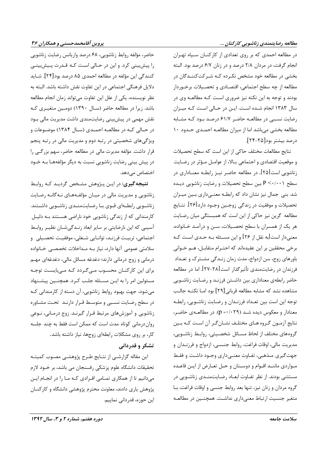#### مطالعه رضایتمندی زناشویی کارکنان ...

در مطالعه احمدی که بر روی تعدادی از کارکنـان سـپاه تهـران انجام گرفت، در مردان ٢/٨ درصد و در زنان ۶/٧ درصد بود. البته بخشی در مطالعه خود مشخص نکـرده کـه شـرکتکننـدگان در مطالعه از چه سطح اجتماعی، اقتصادی و تحصیلات برخوردار بودند و توجه به این نکته نیز ضروری است کـه مطالعـه وی در سال ۱۳۸۳ انجام شـده اسـت. ایـن در حـالی اسـت کـه میـزان رضایت نسبی در مطالعـه حاضـر ۶۱/۷ درصـد بـود کـه مشـابه مطالعه بخشی می باشد اما از میزان مطالعـه احمـدی حـدود ۱۰ درصد بيشتر بود[٢٥-٢۴].

نتايج مطالعات مختلف حاكى از اين است كه سطح تحصيلات و موقعیت اقتصادی و اجتماعی بالا، از عوامل مؤثر در رضایت زناشویی است[۲۵]. در مطالعه حاضر نیـز رابطـه معنـاداری در سطح P < · / · · ) بین سطح تحصیلات و رضایت زناشویی دیـده شد. بنی جمال نیز نشان داد که رابطـه معنـیداری بـین میـزان تحصیلات و موفقیت در زندگی زوجـین وجـود دارد[۲۶]. نتــایج مطالعه گرین نیز حاکی از این است که همبستگی میان رضایت هر یک از همسران با سطح تحصـیلات، سـن و درآمـد خـانواده، معنىدار است[به نقل از ۲۶] و اين مسـئله بـه حـدي اسـت كـه برخی محققین بر این عقیدهاند که احتـرام متقابـل، هـم خـوانی باورهای زوج، سن ازدواج، مدت زمان زنـدگی مشـترک و تعـداد فرزندان در رضایتمندی تأثیر گذار است [۲۸-۲۷]. اما در مطالعه حاضر رابطهى معنادارى بين داشتن فرزنـد و رضـايت زناشـويى مشاهده نشد که مشابه مطالعه قربانی [٢٩] بود امـا نکتـه جالـب توجه این است بین تعـداد فرزنـدان و رضـایت زناشـویی، رابطـه معنادار و معکوس دیده شـد (p =٠/٠٢٩). در مطالعــهی حاضـر، نتايج آزمون گروه هـاي مختلـف نشـانگـر آن اسـت كـه بـين گروههای مختلف از لحاظ مسـائل شخصـیتی، روابـط زناشـویی، مديريت مالي، اوقات فراغت، روابط جنسـي، ازدواج و فرزنـدان و جهت گیری مـذهبی، تفـاوت معنـیداری وجـود داشـت و فقـط مواردي ماننـد اقـوام و دوسـتان و حـل تعـارض از ايـن قاعـده مستثنی بودند. از نظر تفـاوت ابعـاد رضـایتمنـدی زناشـویی در گروه مردان و زنان نیز، تنها بعد روابط جنسی و اوقات فراغت، با متغیر جنسیت ارتباط معنیداری نداشت. همچنـین در مطالعـه

حاضر، مؤلفه روابط زناشویی، ۶۸ درصد واریانس رضایت زناشویی را پیش بینی کرد. و این در حـالی اسـت کـه قـدرت پـیش بینـی كنندگي اين مؤلفه در مطالعه احمدي ۸۵ درصد بود[۲۴]. شــايد دلایل فرهنگی اجتماعی در این تفاوت نقش داشته باشد. البته به نظر نویسنده، یکی از علل این تفاوت میتواند زمان انجام مطالعه باشد. زیرا در مطالعه حاضر (سـال ۱۳۹۰) دومـین متغیـری کـه نقش مهمی در پیشبینی رضایتمندی داشت مدیریت مالی بود در حـالی کـه در مطالعـه احمـدی (سـال ۱۳۸۴) موضـوعات و ویژگیهای شخصیتی در رتبه دوم و مدیریت مالی در رتبه پنجم قرار داشت. مؤلفه مدیرت مالی در مطالعه حاضر، سهم بزرگـی را در پیش بینی رضایت زناشویی نسبت به دیگر مؤلفههـا بـه خـود اختصاص می دهد.

**نتیجه گیری:** در ایـن پـژوهش مشـخص گردیـد کـه روابـط زناشویی و مدیریت مالی در میـان مؤلفـههـای نـهگانـه رضـایت زناشویی رابطهای قوی با رضایتمندی زناشویی داشتند. کارمندانی که از زندگی زناشویی خود ناراضی هستند بـه دلیـل آسیبی که این نارضایتی بر سایر ابعاد زنـدگیشـان نظیـر روابـط اجتماعی، تربیت فرزنـد، توانـایی شـغلی، موفقیـت تحصـیلی و سلامتی عمومی آنها دارد، نیاز بـه مـداخلات تخصصـی خـانواده درمانی و زوج درمانی دارند؛ دغدغه مسائل مالی، دغدغهای مهـم برای این کارکنـان محسـوب مـیگـردد کـه مـیبایسـت توجـه مسئولین امر را به ایـن مسـئله جلـب کـرد. همچنـین پیشـنهاد میشود، جهت بهبود روابط زناشویی، آن دسته از کارمندانی کـه در سطح رضایت نسبی و متوسط قـرار دارنـد تحـت مشـاوره زناشویی و آموزشهای مرتبط قـرار گیرنـد. زوج درمـانی، نـوعی روان درمانی کوتاه مدت است که ممکن است فقط به چند جلسه کار، بر روی مشکلات رابطهای زوجها، نیاز داشته باشد.

## تشکر و قدردانی

این مقاله گزارشـی از نتـایج طـرح پژوهشـی مصـوب کمیتـه تحقیقات دانشگاه علوم پزشکی رفسنجان می باشد، بر خــود لازم میدانیم تا از همکاری تمـامی افـرادی کـه مـا را در انجـام ايـن پژوهش یاری دادند، معاونت محترم پژوهشی دانشگاه و کارکنــان این حوزه، قدردانی نماییم.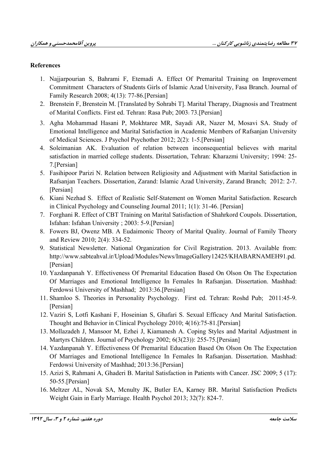### **References**

- 1. Najjarpourian S, Bahrami F, Etemadi A. Effect Of Premarital Training on Improvement Commitment Characters of Students Girls of Islamic Azad University, Fasa Branch. Journal of Family Research 2008; 4(13): 77-86. [Persian]
- 2. Brenstein F, Brenstein M. [Translated by Sohrabi T]. Marital Therapy, Diagnosis and Treatment of Marital Conflicts. First ed. Tehran: Rasa Pub: 2003: 73. [Persian]
- 3. Agha Mohammad Hasani P, Mokhtaree MR, Sayadi AR, Nazer M, Mosavi SA. Study of Emotional Intelligence and Marital Satisfaction in Academic Members of Rafsanjan University of Medical Sciences. J Psychol Psychother 2012; 2(2): 1-5. [Persian]
- 4. Soleimanian AK. Evaluation of relation between inconsequential believes with marital satisfaction in married college students. Dissertation, Tehran: Kharazmi University; 1994: 25-7.[Persian]
- 5. Fasihipoor Parizi N. Relation between Religiosity and Adjustment with Marital Satisfaction in Rafsanjan Teachers. Dissertation, Zarand: Islamic Azad University, Zarand Branch; 2012: 2-7. [Persian]
- 6. Kiani Nezhad S. Effect of Realistic Self-Statement on Women Marital Satisfaction. Research in Clinical Psychology and Counseling Journal 2011; 1(1): 31-46. [Persian]
- 7. Forghani R. Effect of CBT Training on Marital Satisfaction of Shahrkord Coupols. Dissertation, Isfahan: Isfahan University; 2003: 5-9. [Persian]
- 8. Fowers BJ, Owenz MB. A Eudaimonic Theory of Marital Quality. Journal of Family Theory and Review 2010; 2(4): 334-52.
- 9. Statistical Newsletter. National Organization for Civil Registration. 2013. Available from: http://www.sabteahval.ir/Upload/Modules/News/ImageGallery12425/KHABARNAMEH91.pd. [Persian]
- 10. Yazdanpanah Y. Effectiveness Of Premarital Education Based On Olson On The Expectation Of Marriages and Emotional Intelligence In Females In Rafsanjan. Dissertation. Mashhad: Ferdowsi University of Mashhad; 2013:36.[Persian]
- 11. Shamloo S. Theories in Personality Psychology. First ed. Tehran: Roshd Pub; 2011:45-9. [Persian]
- 12. Vaziri S, Lotfi Kashani F, Hoseinian S, Ghafari S. Sexual Efficacy And Marital Satisfaction. Thought and Behavior in Clinical Psychology 2010; 4(16):75-81. [Persian]
- 13. Mollazadeh J, Mansoor M, Ezhei J, Kiamanesh A. Coping Styles and Marital Adjustment in Martyrs Children. Journal of Psychology 2002; 6(3(23)): 255-75. [Persian]
- 14. Yazdanpanah Y. Effectiveness Of Premarital Education Based On Olson On The Expectation Of Marriages and Emotional Intelligence In Females In Rafsanjan. Dissertation. Mashhad: Ferdowsi University of Mashhad; 2013:36. [Persian]
- 15. Azizi S, Rahmani A, Ghaderi B. Marital Satisfaction in Patients with Cancer. JSC 2009; 5 (17):  $50-55$ . [Persian]
- 16. Meltzer AL, Novak SA, Mcnulty JK, Butler EA, Karney BR. Marital Satisfaction Predicts Weight Gain in Early Marriage. Health Psychol 2013; 32(7): 824-7.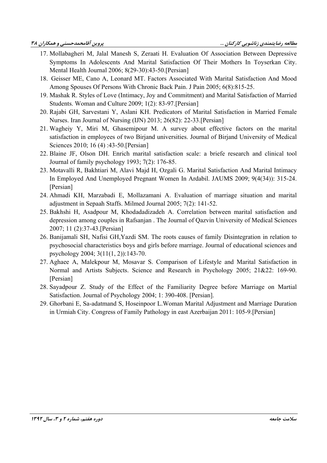- 17. Mollabagheri M, Jalal Manesh S, Zeraati H. Evaluation Of Association Between Depressive Symptoms In Adolescents And Marital Satisfaction Of Their Mothers In Toyserkan City. Mental Health Journal 2006; 8(29-30):43-50. [Persian]
- 18. Geisser ME, Cano A, Leonard MT. Factors Associated With Marital Satisfaction And Mood Among Spouses Of Persons With Chronic Back Pain. J Pain 2005; 6(8):815-25.
- 19. Mashak R. Styles of Love (Intimacy, Joy and Commitment) and Marital Satisfaction of Married Students. Woman and Culture 2009; 1(2): 83-97. [Persian]
- 20. Rajabi GH, Sarvestani Y, Aslani KH, Predicators of Marital Satisfaction in Married Female Nurses. Iran Journal of Nursing (IJN) 2013; 26(82): 22-33. [Persian]
- 21. Wagheiy Y, Miri M, Ghasemipour M. A survey about effective factors on the marital satisfaction in employees of two Birjand universities. Journal of Birjand University of Medical Sciences 2010; 16 (4):43-50. [Persian]
- 22. Blaine JF, Olson DH. Enrich marital satisfaction scale: a briefe research and clinical tool Journal of family psychology 1993; 7(2): 176-85.
- 23. Motavalli R, Bakhtiari M, Alavi Majd H, Ozgali G. Marital Satisfaction And Marital Intimacy In Employed And Unemployed Pregnant Women In Ardabil. JAUMS 2009; 9(4(34)): 315-24. [Persian]
- 24. Ahmadi KH, Marzabadi E, Mollazamani A. Evaluation of marriage situation and marital adjustment in Sepaah Staffs. Milmed Journal 2005; 7(2): 141-52.
- 25. Bakhshi H, Asadpour M, Khodadadizadeh A. Correlation between marital satisfaction and depression among couples in Rafsanjan. The Journal of Qazvin University of Medical Sciences 2007; 11 (2):37-43. [Persian]
- 26. Banijamali SH, Nafisi GH, Yazdi SM. The roots causes of family Disintegration in relation to psychosocial characteristics boys and girls before marriage. Journal of educational sciences and psychology 2004; 3(11(1, 2)):143-70.
- 27. Aghaee A, Malekpour M, Mosavar S. Comparison of Lifestyle and Marital Satisfaction in Normal and Artists Subjects. Science and Research in Psychology 2005; 21&22: 169-90. [Persian]
- 28. Sayadpour Z. Study of the Effect of the Familiarity Degree before Marriage on Martial Satisfaction. Journal of Psychology 2004; 1: 390-408. [Persian].
- 29. Ghorbani E, Sa-adatmand S, Hoseinpoor L. Woman Marital Adjustment and Marriage Duration in Urmiah City. Congress of Family Pathology in east Azerbaijan 2011: 105-9. [Persian]